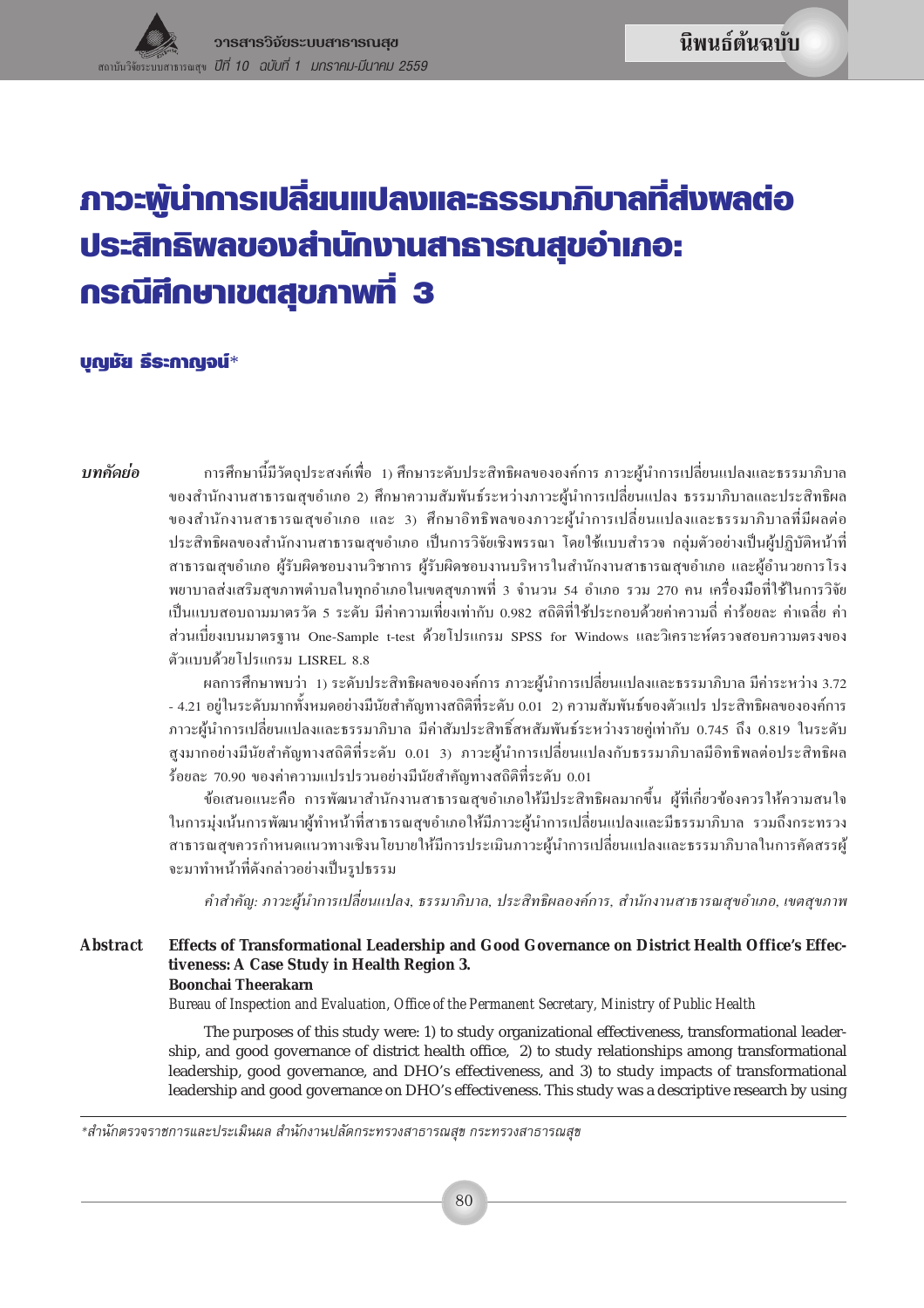# <u>ภาวะพู้นำการเปลี่ยนแปลงและธรรมาภิบาลที่ส่งพลต่อ</u> ประสิทธิพลของสำนักงานสาธารณสุขอำเภอ: กรณีศึกษาเขตสุขภาพที่ 3

## บุญชัย ธีระกาญจน์\*

าเทดัดย่อ

การศึกษานี้มีวัตถุประสงค์เพื่อ 1) ศึกษาระดับประสิทธิผลขององค์การ ภาวะผู้นำการเปลี่ยนแปลงและธรรมาภิบาล ของสำนักงานสาธารณสุขอำเภอ 2) ศึกษาความสัมพันธ์ระหว่างภาวะผู้นำการเปลี่ยนแปลง ธรรมาภิบาลและประสิทธิผล ของสำนักงานสาธารณสุขอำเภอ และ 3) ศึกษาอิทธิพลของภาวะผู้นำการเปลี่ยนแปลงและธรรมาภิบาลที่มีผลต่อ ประสิทธิผลของสำนักงานสาธารณสุขอำเภอ เป็นการวิจัยเชิงพรรณา โดยใช้แบบสำรวจ กลุ่มตัวอย่างเป็นผู้ปฏิบัติหน้าที่ สาธารณสุขอำเภอ ผู้รับผิดชอบงานวิชาการ ผู้รับผิดชอบงานบริหารในสำนักงานสาธารณสุขอำเภอ และผู้อำนวยการโรง พยาบาลส่งเสริมสุขภาพตำบลในทุกอำเภอในเขตสุขภาพที่ 3 จำนวน 54 อำเภอ รวม 270 คน เครื่องมือที่ใช้ในการวิจัย เป็นแบบสอบถามมาตรวัด 5 ระดับ มีค่าความเที่ยงเท่ากับ 0.982 สถิติที่ใช้ประกอบด้วยค่าความถี่ ค่าร้อยละ ค่าเฉลี่ย ค่า ส่วนเบี่ยงเบนมาตรฐาน One-Sample t-test ด้วยโปรแกรม SPSS for Windows และวิเคราะห์ตรวจสอบความตรงของ ตัวแบบด้วยโปรแกรม LISREL 8.8

ผลการศึกษาพบว่า 1) ระดับประสิทธิผลขององค์การ ภาวะผู้นำการเปลี่ยนแปลงและธรรมาภิบาล มีค่าระหว่าง 3.72 - 4.21 อยู่ในระดับมากทั้งหมดอย่างมีนัยสำคัญทางสถิติที่ระดับ 0.01 2) ความสัมพันธ์ของตัวแปร ประสิทธิผลขององค์การ ภาวะผู้นำการเปลี่ยนแปลงและธรรมาภิบาล มีค่าสัมประสิทธิ์สหสัมพันธ์ระหว่างรายคู่เท่ากับ 0.745 ถึง 0.819 ในระดับ สูงมากอย่างมีนัยสำคัญทางสถิติที่ระดับ 0.01 3) ภาวะผู้นำการเปลี่ยนแปลงกับธรรมาภิบาลมีอิทธิพลต่อประสิทธิผล ร้้อยละ 70.90 ของค่าความแปรปรวนอย่างมีนัยสำคัญทางสถิติที่ระดับ 0.01

ข้อเสนอแนะคือ การพัฒนาสำนักงานสาธารณสุขอำเภอให้มีประสิทธิผลมากขึ้น ผู้ที่เกี่ยวข้องควรให้ความสนใจ ในการมุ่งเน้นการพัฒนาผู้ทำหน้าที่สาธารณสุขอำเภอให้มีภาวะผู้นำการเปลี่ยนแปลงและมีธรรมาภิบาล รวมถึงกระทรวง สาธารณสุขควรกำหนดแนวทางเชิงนโยบายให้มีการประเมินภาวะผู้นำการเปลี่ยนแปลงและธรรมาภิบาลในการคัดสรรผู้ จะมาทำหน้าที่ดังกล่าวอย่างเป็นรูปธรรม

คำสำคัญ: ภาวะผู้นำการเปลี่ยนแปลง, ธรรมาภิบาล, ประสิทธิผลองค์การ, สำนักงานสาธารณสุขอำเภอ, เขตสุขภาพ

#### **Abstract** Effects of Transformational Leadership and Good Governance on District Health Office's Effectiveness: A Case Study in Health Region 3.

#### **Boonchai Theerakarn**

Bureau of Inspection and Evaluation, Office of the Permanent Secretary, Ministry of Public Health

The purposes of this study were: 1) to study organizational effectiveness, transformational leadership, and good governance of district health office, 2) to study relationships among transformational leadership, good governance, and DHO's effectiveness, and 3) to study impacts of transformational leadership and good governance on DHO's effectiveness. This study was a descriptive research by using

\*สำนักตรวจราชการและประเมินผล สำนักงานปลัดกระทรวงสาธารณสุข กระทรวงสาธารณสุข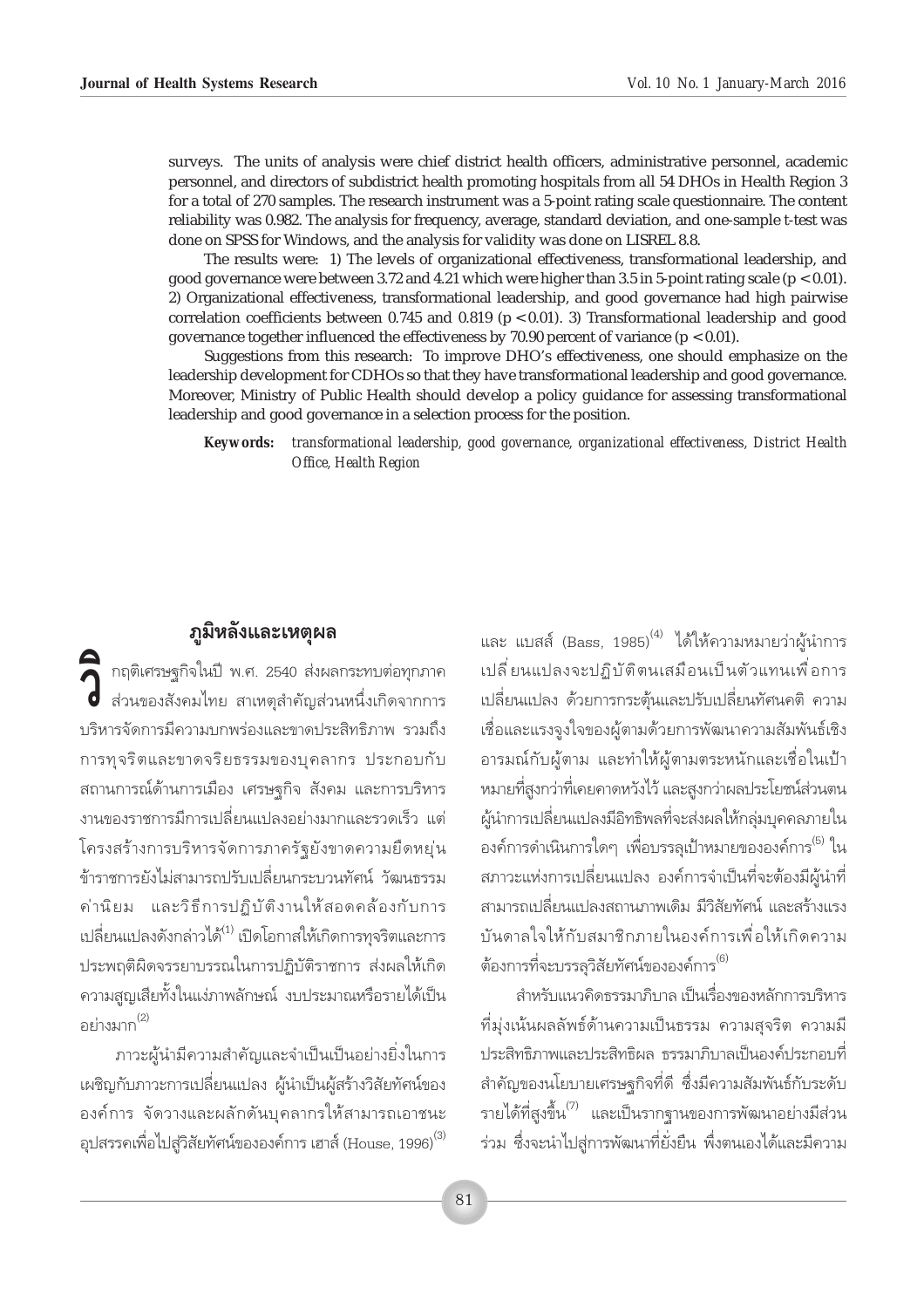surveys. The units of analysis were chief district health officers, administrative personnel, academic personnel, and directors of subdistrict health promoting hospitals from all 54 DHOs in Health Region 3 for a total of 270 samples. The research instrument was a 5-point rating scale questionnaire. The content reliability was 0.982. The analysis for frequency, average, standard deviation, and one-sample t-test was done on SPSS for Windows, and the analysis for validity was done on LISREL 8.8.

The results were: 1) The levels of organizational effectiveness, transformational leadership, and good governance were between 3.72 and 4.21 which were higher than 3.5 in 5-point rating scale ( $p < 0.01$ ). 2) Organizational effectiveness, transformational leadership, and good governance had high pairwise correlation coefficients between 0.745 and 0.819 ( $p < 0.01$ ). 3) Transformational leadership and good governance together influenced the effectiveness by 70.90 percent of variance  $(p < 0.01)$ .

Suggestions from this research: To improve DHO's effectiveness, one should emphasize on the leadership development for CDHOs so that they have transformational leadership and good governance. Moreover, Ministry of Public Health should develop a policy guidance for assessing transformational leadership and good governance in a selection process for the position.

transformational leadership, good governance, organizational effectiveness, District Health **Keywords:** Office, Health Region

## ภูมิหลังและเหตุผล

ด<br>คิด กฤติเศรษฐกิจในปี พ.ศ. 2540 ส่งผลกระทบต่อทุกภาค<br>คิดส่วนของสังคมไทย สาเหตุสำคัญส่วนหนึ่งเกิดจากการ บริหารจัดการมีความบกพร่องและขาดประสิทธิภาพ รวมถึง การทุจริตและขาดจริยธรรมของบุคลากร ประกอบกับ สถานการณ์ด้านการเมือง เศรษฐกิจ สังคม และการบริหาร งานของราชการมีการเปลี่ยนแปลงอย่างมากและรวดเร็ว แต่ โครงสร้างการบริหารจัดการภาครัฐยังขาดความยืดหยุ่น ข้าราชการยังไม่สามารถปรับเปลี่ยนกระบวนทัศน์ วัฒนธรรม ้ค่านิยม และวิธีการปฏิบัติงานให้สอดคล้องกับการ เปลี่ยนแปลงดังกล่าวได้<sup>(1)</sup> เปิดโอกาสให้เกิดการทุจริตและการ ประพฤติผิดจรรยาบรรณในการปภิบัติราชการ ส่งผลให้เกิด ้ความสูญเสียทั้งในแง่ภาพลักษณ์ งบประมาณหรือรายได้เป็น อะไวงมาก<sup>(2)</sup>

่<br>ภาวะผู้นำมีความสำคัญและจำเป็นเป็นอย่างยิ่งในการ เผชิญกับภาวะการเปลี่ยนแปลง ผู้นำเป็นผู้สร้างวิสัยทัศน์ของ ้องค์การ จัดวางและผลักดันบคลากรให้สามารถเอาชนะ ้อุปสรรคเพื่อไปสู่วิสัยทัศน์ขององค์การ เฮาส์ (House, 1996) $^{\left( 3\right) }$  และ แบสส์ (Bass, 1985)<sup>(4)</sup> ได้ให้ความหมายว่าผู้นำการ เปลี่ยนแปลงจะปฏิบัติตนเสมือนเป็นตัวแทนเพื่อการ เปลี่ยนแปลง ด้วยการกระตุ้นและปรับเปลี่ยนทัศนคติ ความ เชื่อและแรงจุงใจของผู้ตามด้วยการพัฒนาความสัมพันธ์เชิง ้อารมณ์กับผู้ตาม และทำให้ผู้ตามตระหนักและเชื่อในเป้า หมายที่สูงกว่าที่เคยคาดหวังไว้ และสูงกว่าผลประโยชน์ส่วนตน ผู้นำการเปลี่ยนแปลงมีอิทธิพลที่จะส่งผลให้กลุ่มบุคคลภายใน ้องค์การดำเนินการใดๆ เพื่อบรรลุเป้าหมายขององค์การ<sup>(5)</sup> ใน ิสภาวะแห่งการเปลี่ยนแปลง องค์การจำเป็นที่จะต้องมีผู้นำที่ สามารถเปลี่ยนแปลงสถานภาพเดิม มีวิสัยทัศน์ และสร้างแรง บันดาลใจให้กับสมาชิกภายในองค์การเพื่อให้เกิดความ ี่ต้องการที่จะบรรลวิสัยทัศน์ขององค์การ<sup>(6)</sup>

้สำหรับแนวคิดธรรมาภิบาล เป็นเรื่องของหลักการบริหาร ที่ม่งเน้นผลลัพธ์ด้านความเป็นธรรม ความสจริต ความมื ประสิทธิภาพและประสิทธิผล ธรรมาภิบาลเป็นองค์ประกอบที่ สำคัญของนโยบายเศรษฐกิจที่ดี ซึ่งมีความสัมพันธ์กับระดับ ้รายได้ที่สูงขึ้น<sup>(7)</sup> และเป็นรากฐานของการพัฒนาอย่างมีส่วน ร่วม ซึ่งจะนำไปส่การพัฒนาที่ยั่งยืน พึ่งตนเองได้และมีความ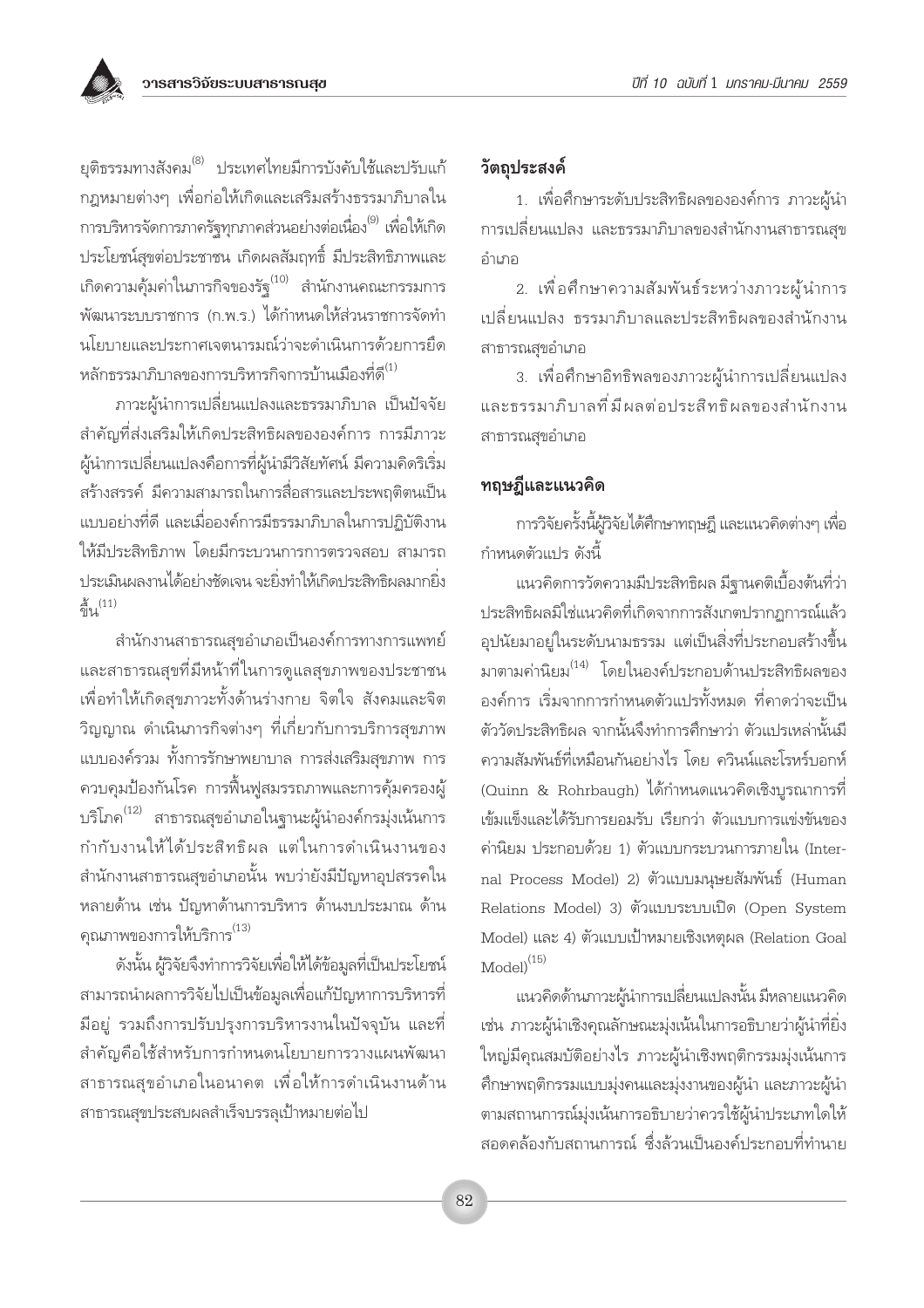ยุติธรรมทางสังคม<sup>(8)</sup> ประเทศไทยมีการบังคับใช้และปรับแก้ ึกฎหมายต่างๆ เพื่อก่อให้เกิดและเสริมสร้างธรรมาภิบาลใน การบริหารจัดการภาครัฐทุกภาคส่วนอย่างต่อเนื่อง<sup>(9)</sup> เพื่อให้เกิด ประโยชน์สุขต่อประชาชน เกิดผลสัมฤทธิ์ มีประสิทธิภาพและ ้เกิดความคุ้มค่าในภารกิจของรัฐ<sup>(10)</sup> สำนักงานคณะกรรมการ พัฒนาระบบราชการ (ก.พ.ร.) ได้กำหนดให้ส่วนราชการจัดทำ นโยบายและประกาศเจตนารมณ์ว่าจะดำเนินการด้วยการยึด หลักธรรมาภิบาลของการบริหารกิจการบ้านเมืองที่ดี $^{\left(1\right)}$ 

่ ภาวะผ้นำการเปลี่ยนแปลงและธรรมาภิบาล เป็นปัจจัย ้สำคัญที่ส่งเสริมให้เกิดประสิทธิผลขององค์การ การมีภาวะ ผู้นำการเปลี่ยนแปลงคือการที่ผู้นำมีวิสัยทัศน์ มีความคิดริเริ่ม สร้างสรรค์ มีความสามารถในการสื่อสารและประพฤติตนเป็น แบบอย่างที่ดี และเมื่อองค์การมีธรรมาภิบาลในการปภิบัติงาน ให้มีประสิทธิภาพ โดยมีกระบวนการการตรวจสอบ สามารถ ประเมินผลงานได้อย่างชัดเจน จะยิ่งทำให้เกิดประสิทธิผลมากยิ่ง  $\frac{2}{9}$ (11)

้สำนักงานสาธารณสุขอำเภอเป็นองค์การทางการแพทย์ และสาธารณสุขที่มีหน้าที่ในการดูแลสุขภาพของประชาชน เพื่อทำให้เกิดสุขภาวะทั้งด้านร่างกาย จิตใจ สังคมและจิต วิญญาณ ดำเนินภารกิจต่างๆ ที่เกี่ยวกับการบริการสุขภาพ แบบองค์รวม ทั้งการรักษาพยาบาล การส่งเสริมสขภาพ การ ้ควบคุมป้องกันโรค การฟื้นฟูสมรรถภาพและการคุ้มครองผู้ บริโภค<sup>(12)</sup> สาธารณสุขอำเภอในฐานะผู้นำองค์กรมุ่งเน้นการ กำกับงานให้ได้ประสิทธิผล แต่ในการดำเนินงานของ ้สำนักงานสาธารณสุขอำเภอนั้น พบว่ายังมีปัญหาอุปสรรคใน หลายด้าน เช่น ปัญหาด้านการบริหาร ด้านงบประมาณ ด้าน คุณภาพของการให้บริการ<sup>(13)</sup>

ดังนั้น ผู้วิจัยจึงทำการวิจัยเพื่อให้ได้ข้อมูลที่เป็นประโยชน์ สามารถนำผลการวิจัยไปเป็นข้อมูลเพื่อแก้ปัญหาการบริหารที่ ้มือยู่ รวมถึงการปรับปรุงการบริหารงานในปัจจุบัน และที่ สำคัญคือใช้สำหรับการกำหนดนโยบายการวางแผนพัฒนา สาธารณสุขอำเภอในอนาคต เพื่อให้การดำเนินงานด้าน สาธารณสุขประสบผลสำเร็จบรรลุเป้าหมายต่อไป

## วัตถประสงค์

1. เพื่อศึกษาระดับประสิทธิผลขององค์การ ภาวะผู้นำ การเปลี่ยนแปลง และธรรมาภิบาลของสำนักงานสาธารณสุข คำเภค

2. เพื่อศึกษาความสัมพันธ์ระหว่างภาวะผู้นำการ เปลี่ยนแปลง ธรรมาภิบาลและประสิทธิผลของสำนักงาน สาธารณสุขอำเภอ

3. เพื่อศึกษาอิทธิพลของภาวะผู้นำการเปลี่ยนแปลง และธรรมาภิบาลที่มีผลต่อประสิทธิผลของสำนักงาน สาธารณสขอำเภอ

## ทฤษฎีและแนวคิด

การวิจัยครั้งนี้ผู้วิจัยได้ศึกษาทฤษฎี และแนวคิดต่างๆ เพื่อ กำหนดตัวแปร ดังนี้

แนวคิดการวัดความมีประสิทธิผล มีฐานคติเบื้องต้นที่ว่า ประสิทธิผลมิใช่แนวคิดที่เกิดจากการสังเกตปรากฏการณ์แล้ว อุปนัยมาอยู่ในระดับนามธรรม แต่เป็นสิ่งที่ประกอบสร้างขึ้น มาตามค่านิยม<sup>(14)</sup> โดยในองค์ประกอบด้านประสิทธิผลของ องค์การ เริ่มจากการกำหนดตัวแปรทั้งหมด ที่คาดว่าจะเป็น ตัววัดประสิทธิผล จากนั้นจึงทำการศึกษาว่า ตัวแปรเหล่านั้นมี ความสัมพันธ์ที่เหมือนกันอย่างไร โดย ควินน์และโรหร์บอกห์ (Quinn & Rohrbaugh) ได้กำหนดแนวคิดเชิงบูรณาการที่ เข้มแข็งและได้รับการยอมรับ เรียกว่า ตัวแบบการแข่งขันของ ค่านิยม ประกอบด้วย 1) ตัวแบบกระบวนการภายใน (Internal Process Model) 2) ตัวแบบมนุษยสัมพันธ์ (Human Relations Model) 3) ตัวแบบระบบเปิด (Open System Model) และ 4) ตัวแบบเป้าหมายเชิงเหตุผล (Relation Goal  $\text{Model}^{(15)}$ 

แนวคิดด้านภาวะผู้นำการเปลี่ยนแปลงนั้น มีหลายแนวคิด เช่น ภาวะผู้นำเชิงคุณลักษณะมุ่งเน้นในการอธิบายว่าผู้นำที่ยิ่ง ใหญ่มีคุณสมบัติอย่างไร ภาวะผู้นำเชิงพฤติกรรมมุ่งเน้นการ ้ศึกษาพฤติกรรมแบบมุ่งคนและมุ่งงานของผู้นำ และภาวะผู้นำ ตามสถานการณ์มุ่งเน้นการอธิบายว่าควรใช้ผู้นำประเภทใดให้ สอดคล้องกับสถานการณ์ ซึ่งล้วนเป็นองค์ประกอบที่ทำนาย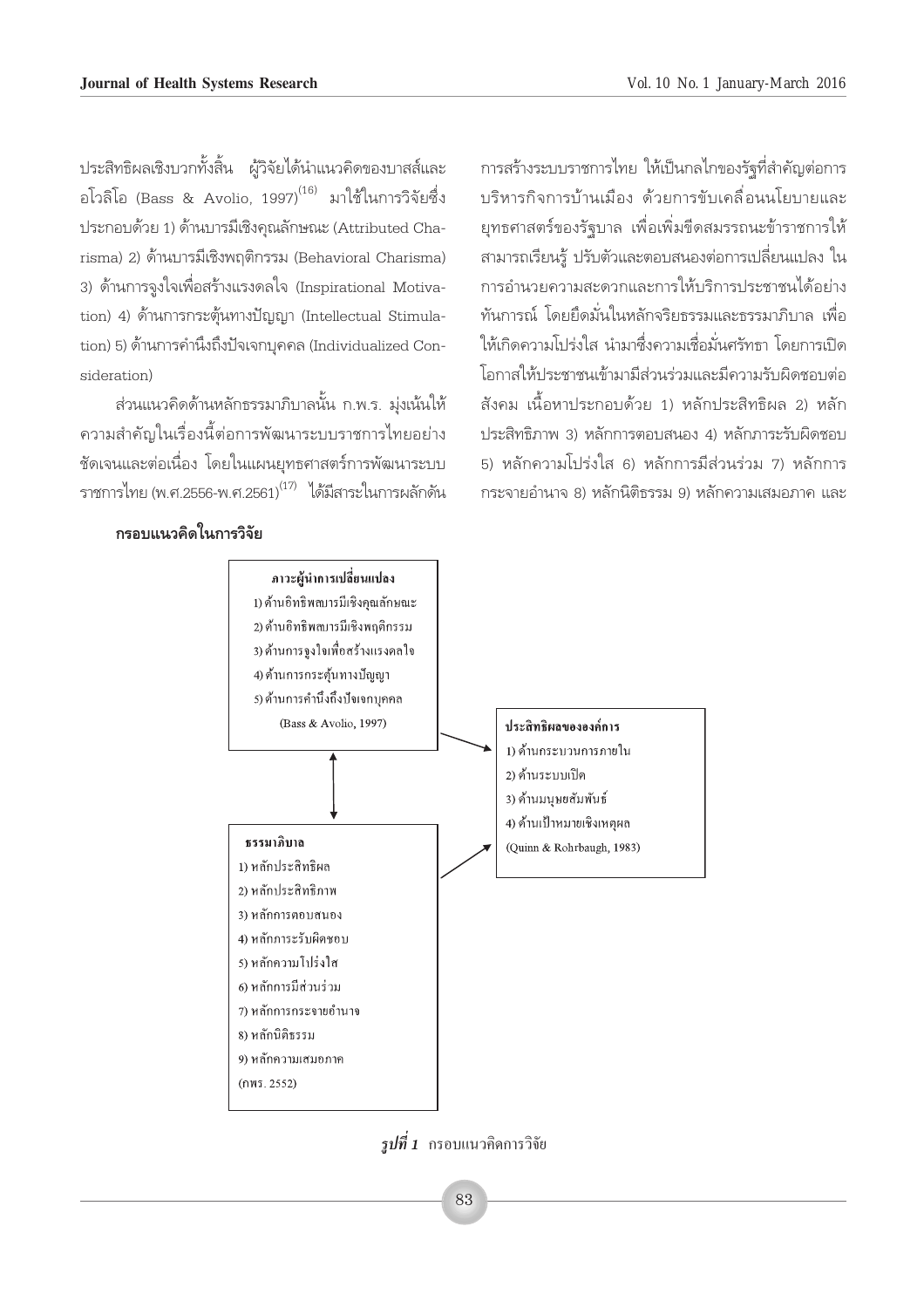ู ประสิทธิผลเชิงบวกทั้งสิ้น ผ้วิจัยได้นำแนวคิดของบาสส์และ อโวลิโอ (Bass & Avolio, 1997) $^{(16)}$  มาใช้ในการวิจัยซึ่ง ประกอบด้วย 1) ด้านบารมีเชิงคณลักษณะ (Attributed Charisma) 2) ด้านบารมีเชิงพฤติกรรม (Behavioral Charisma) 3) ด้านการจูงใจเพื่อสร้างแรงดลใจ (Inspirational Motivation) 4) ด้านการกระต้นทางปัญญา (Intellectual Stimulation) 5) ด้านการคำนึ่งถึงปัจเจกบคคล (Individualized Consideration)

้ส่วนแนวคิดด้านหลักธรรมาภิบาลนั้น ก.พ.ร. ม่งเน้นให้ ้ ความสำคัญในเรื่องนี้ต่อการพัฒนาระบบราชการไทยอย่าง ชัดเจนและต่อเนื่อง โดยในแผนยุทธศาสตร์การพัฒนาระบบ ้ราชการไทย (พ.ศ.2556-พ.ศ.2561)<sup>(17)</sup> ได้มีสาระในการผลักดัน

**°√Õ∫·π«§'¥"π°"√«'®—¬**

ำการสร้างระบบราชการไทย ให้เป็นกลไกของรัฐที่สำคัญต่อการ ู้ บริหารกิจการบ้านเมือง ด้วยการขับเคลื่อนนโยบายและ ยทธศาสตร์ของรัฐบาล เพื่อเพิ่มขีดสมรรถนะข้าราชการให้ สามารถเรียนรู้ ปรับตัวและตอบสนองต่อการเปลี่ยนแปลง ใน การอำนวยความสะดวกและการให้บริการประชาชนได้อย่าง ู้ทันการณ์ โดยยึดมั่นในหลักจริยธรรมและธรรมาภิบาล เพื่อ ให้เกิดความโปร่งใส นำมาซึ่งความเชื่อมั่นศรัทธา โดยการเปิด ์ โอกาสให้ประชาชนเข้ามามีส่วนร่วมและมีความรับผิดชอบต่อ —ß§¡ ‡π◊ÈÕÀ"ª√–°Õ∫¥â«¬ 1) À≈—°ª√– '∑∏'º≈ 2) À≈—° ประสิทธิภาพ 3) หลักการตอบสนอง 4) หลักภาระรับผิดชอบ 5) หลักความโปร่งใส 6) หลักการมีส่วนร่วม 7) หลักการ ำระจายอำนาจ 8) หลักนิติธรรม 9) หลักความเสมอภาค และ



 $j$ *ปที่ 1* กรอบแนวคิดการวิจัย

83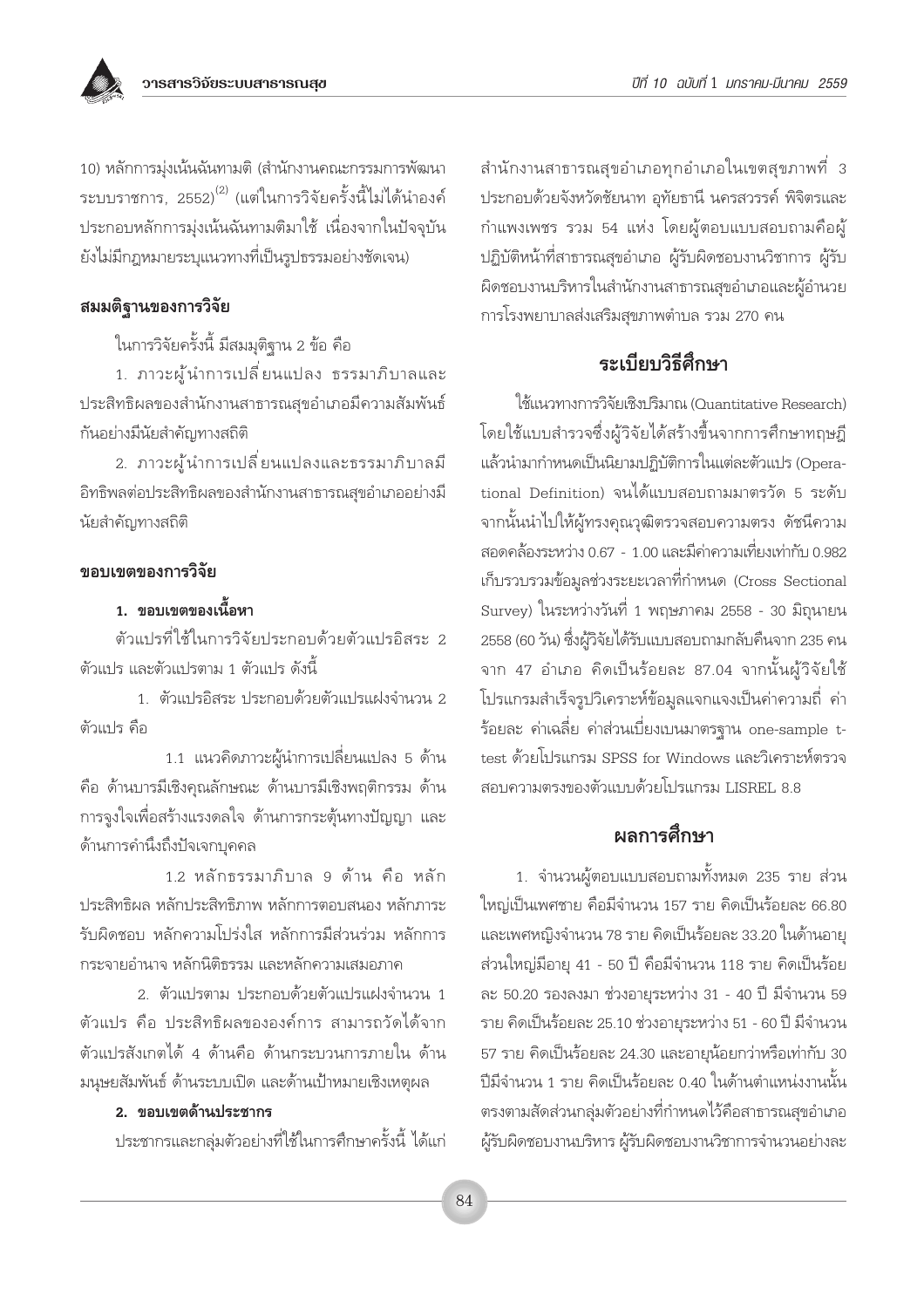10) หลักการมุ่งเน้นฉันทามติ (สำนักงานคณะกรรมการพัฒนา ระบบราชการ, 2552)<sup>(2)</sup> (แต่ในการวิจัยครั้งนี้ไม่ได้นำองค์ ประกอบหลักการมุ่งเน้นฉันทามติมาใช้ เนื่องจากในปัจจุบัน ้ยังไม่มีกฎหมายระบุแนวทางที่เป็นรูปธรรมอย่างชัดเจน)

## สมมติฐานของการวิจัย

ในการวิจัยครั้งนี้ มีสมมุติฐาน 2 ข้อ คือ

1. ภาวะผู้นำการเปลี่ยนแปลง ธรรมาภิบาลและ ประสิทธิผลของสำนักงานสาธารณสุขอำเภอมีความสัมพันธ์ กันอย่างมีนัยสำคัญทางสถิติ

่ 2. ภาวะผู้นำการเปลี่ยนแปลงและธรรมาภิบาลมี อิทธิพลต่อประสิทธิผลของสำนักงานสาธารณสขอำเภออย่างมี นัยสำคัญทางสถิติ

## ขอบเขตของการวิจัย

# 1. ขอบเขตของเนื้อหา

ตัวแปรที่ใช้ในการวิจัยประกอบด้วยตัวแปรอิสระ 2 ตัวแปร และตัวแปรตาม 1 ตัวแปร ดังนี้

1 ตัวแปรอิสระ ประกอบด้วยตัวแปรแฝงจำนวน 2 ตัวแปร คือ

1.1 แนวคิดภาวะผู้นำการเปลี่ยนแปลง 5 ด้าน คือ ด้านบารมีเชิงคุณลักษณะ ด้านบารมีเชิงพฤติกรรม ด้าน การจูงใจเพื่อสร้างแรงดลใจ ด้านการกระตุ้นทางปัญญา และ ด้านการคำนึงถึงปัจเจกบคคล

1.2 หลักธรรมาภิบาล 9 ด้าน คือ หลัก ประสิทธิผล หลักประสิทธิภาพ หลักการตอบสนอง หลักภาระ รับผิดชอบ หลักความโปร่งใส หลักการมีส่วนร่วม หลักการ กระจายอำนาจ หลักนิติธรรม และหลักความเสมอภาค

2. ตัวแปรตาม ประกอบด้วยตัวแปรแฝงจำนวน 1 ตัวแปร คือ ประสิทธิผลขององค์การ สามารถวัดได้จาก ตัวแปรสังเกตได้ 4 ด้านคือ ด้านกระบวนการภายใน ด้าน มนุษยสัมพันธ์ ด้านระบบเปิด และด้านเป้าหมายเชิงเหตุผล

#### 2. ขอบเขตด้านประชากร

ประชากรและกลุ่มตัวอย่างที่ใช้ในการศึกษาครั้งนี้ ได้แก่

้สำนักงานสาธารณสุขอำเภอทุกอำเภอในเขตสุขภาพที่ 3 ประกอบด้วยจังหวัดชัยนาท อุทัยธานี นครสวรรค์ พิจิตรและ กำแพงเพชร รวม 54 แห่ง โดยผู้ตอบแบบสอบถามคือผู้ ปฏิบัติหน้าที่สาธารณสุขอำเภอ ผู้รับผิดชอบงานวิชาการ ผู้รับ ผิดชอบงานบริหารในสำนักงานสาธารณสุขอำเภอและผู้อำนวย การโรงพยาบาลส่งเสริมสุขภาพตำบล รวม 270 คน

# ระเบียบวิธีศึกษา

ใช้แนวทางการวิจัยเชิงปริมาณ (Quantitative Research) โดยใช้แบบสำรวจซึ่งผู้วิจัยได้สร้างขึ้นจากการศึกษาทฤษฎี แล้วนำมากำหนดเป็นนิยามปฏิบัติการในแต่ละตัวแปร (Operational Definition) จนได้แบบสอบถามมาตรวัด 5 ระดับ จากนั้นนำไปให้ผู้ทรงคุณวุฒิตรวจสอบความตรง ดัชนีความ สอดคล้องระหว่าง 0.67 - 1.00 และมีค่าความเที่ยงเท่ากับ 0.982 เก็บรวบรวมข้อมูลช่วงระยะเวลาที่กำหนด (Cross Sectional Survey) ในระหว่างวันที่ 1 พฤษภาคม 2558 - 30 มิถุนายน 2558 (60 วัน) ซึ่งผู้วิจัยได้รับแบบสอบถามกลับคืนจาก 235 คน จาก 47 อำเภอ คิดเป็นร้อยละ 87.04 จากนั้นผู้วิจัยใช้ โปรแกรมสำเร็จรูปวิเคราะห์ข้อมูลแจกแจงเป็นค่าความถี่ ค่า ร้อยละ ค่าเฉลี่ย ค่าส่วนเบี่ยงเบนมาตรจาน one-sample ttest ด้วยโปรแกรม SPSS for Windows และวิเคราะห์ตรวจ สอบความตรงของตัวแบบด้วยโปรแกรม LISREL 8.8

# ผลการศึกษา

1. จำนวนผู้ตอบแบบสอบถามทั้งหมด 235 ราย ส่วน ใหญ่เป็นเพศชาย คือมีจำนวน 157 ราย คิดเป็นร้อยละ 66.80 และเพศหญิงจำนวน 78 ราย คิดเป็นร้อยละ 33.20 ในด้านอายุ ส่วนใหญ่มีอายุ 41 - 50 ปี คือมีจำนวน 118 ราย คิดเป็นร้อย ละ 50.20 รองลงมา ช่วงอายุระหว่าง 31 - 40 ปี มีจำนวน 59 ราย คิดเป็นร้อยละ 25.10 ช่วงอายุระหว่าง 51 - 60 ปี มีจำนวน 57 ราย คิดเป็นร้อยละ 24.30 และอายุน้อยกว่าหรือเท่ากับ 30 ปีมีจำนวน 1 ราย คิดเป็นร้อยละ 0.40 ในด้านตำแหน่งงานนั้น ตรงตามสัดส่วนกลุ่มตัวอย่างที่กำหนดไว้คือสาธารณสุขอำเภอ ผู้รับผิดชอบงานบริหาร ผู้รับผิดชอบงานวิชาการจำนวนอย่างละ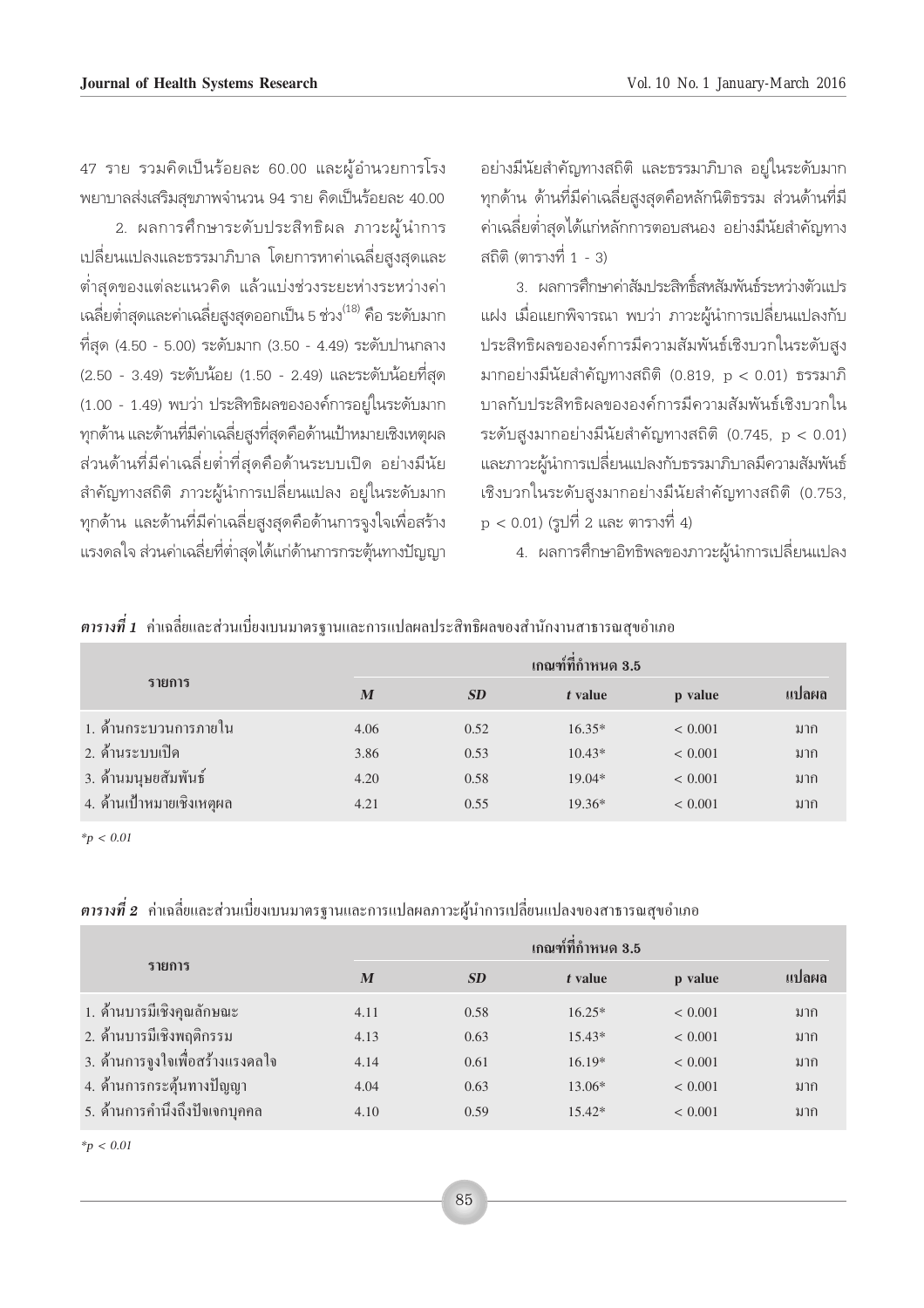47 ราย รวมคิดเป็นร้อยละ 60.00 และผู้อำนวยการโรง พยาบาลส่งเสริมสุขภาพจำนวน 94 ราย คิดเป็นร้อยละ 40.00

2. ผลการศึกษาระดับประสิทธิผล ภาวะผู้นำการ ้เปลี่ยนแปลงและธรรมาภิบาล โดยการหาค่าเฉลี่ยสูงสุดและ ้ต่ำสดของแต่ละแนวคิด แล้วแบ่งช่วงระยะห่างระหว่างค่า เฉลี่ยต่ำสุดและค่าเฉลี่ยสูงสุดออกเป็น 5 ช่วง<sup>(18)</sup> คือ ระดับมาก ที่สุด (4.50 - 5.00) ระดับมาก (3.50 - 4.49) ระดับปานกลาง (2.50 - 3.49) ระดับน้อย (1.50 - 2.49) และระดับน้อยที่สุด (1.00 - 1.49) พบว่า ประสิทธิผลขององค์การอย่ในระดับมาก ทุกด้าน และด้านที่มีค่าเฉลี่ยสูงที่สุดคือด้านเป้าหมายเชิงเหตุผล ้ส่วนด้านที่มีค่าเฉลี่ยต่ำที่สุดคือด้านระบบเปิด อย่างมีนัย ้สำคัญทางสถิติ ภาวะผู้นำการเปลี่ยนแปลง อยู่ในระดับมาก ทุกด้าน และด้านที่มีค่าเฉลี่ยสูงสุดคือด้านการจูงใจเพื่อสร้าง แรงดลใจ ส่วนค่าเฉลี่ยที่ต่ำสุดได้แก่ด้านการกระตุ้นทางปัญญา

อย่างมีนัยสำคัญทางสถิติ และธรรมาภิบาล อยู่ในระดับมาก ทุกด้าน ด้านที่มีค่าเฉลี่ยสูงสุดคือหลักนิติธรรม ส่วนด้านที่มี ้ค่าเฉลี่ยต่ำสดได้แก่หลักการตอบสนอง อย่างมีนัยสำคัญทาง สถิติ (ตารางที่ 1 - 3)

3. ผลการศึกษาค่าสัมประสิทธิ์สหสัมพันธ์ระหว่างตัวแปร แฝง เมื่อแยกพิจารณา พบว่า ภาวะผู้นำการเปลี่ยนแปลงกับ ประสิทธิผลขององค์การมีความสัมพันธ์เชิงบวกในระดับสูง มากอย่างมีนัยสำคัญทางสถิติ (0.819, p < 0.01) ธรรมาภิ บาลกับประสิทธิผลขององค์การมีความสัมพันธ์เชิงบวกใน ระดับสูงมากอย่างมีนัยสำคัญทางสถิติ (0.745, p < 0.01) และภาวะผู้นำการเปลี่ยนแปลงกับธรรมาภิบาลมีความสัมพันธ์ เชิงบวกในระดับสูงมากอย่างมีนัยสำคัญทางสถิติ (0.753, p < 0.01) (รูปที่ 2 และ ตารางที่ 4)

่ 4. ผลการศึกษาอิทธิพลของภาวะผู้นำการเปลี่ยนแปลง

|  |  |  |  | <b>ตารางที่ 1</b> คาเฉลยและส่วนเบียงเบนมาตรฐานและการแปลผลประสทุธผลของสานกงานสาธารณสขอาเภอ |
|--|--|--|--|-------------------------------------------------------------------------------------------|

|                           |      |           | เกณฑ์ที่กำหนด 3.5 |             |       |
|---------------------------|------|-----------|-------------------|-------------|-------|
| รายการ                    | M    | <b>SD</b> | t value           | p value     | แปลผล |
| 1. ค้านกระบวนการภายใน     | 4.06 | 0.52      | $16.35*$          | ${}< 0.001$ | มาก   |
| ่ 2. ด้านระบบเปิด         | 3.86 | 0.53      | $10.43*$          | < 0.001     | มาก   |
| 3. ค้านมนุษยสัมพันธ์      | 4.20 | 0.58      | $19.04*$          | < 0.001     | มาก   |
| 4. ค้านเป้าหมายเชิงเหตุผล | 4.21 | 0.55      | $19.36*$          | < 0.001     | มาก   |

 $*_{p}$  < 0.01

ี <mark>ตารางที่ 2</mark> ค่าเฉลี่ยและส่วนเบี่ยงเบนมาตรฐานและการแปลผลภาวะผู้นำการเปลี่ยนแปลงของสาธารณสุขอำเภอ

|                                  |      | เกณฑ์ที่กำหนด 3.5 |          |             |       |  |  |  |
|----------------------------------|------|-------------------|----------|-------------|-------|--|--|--|
| รายการ                           | M    | <b>SD</b>         | t value  | p value     | แปลผล |  |  |  |
| 1. ค้านบารมีเชิงคุณลักษณะ        | 4.11 | 0.58              | $16.25*$ | ${}< 0.001$ | มาก   |  |  |  |
| 2. ด้านบารมีเชิงพฤติกรรม         | 4.13 | 0.63              | $15.43*$ | ${}< 0.001$ | มาก   |  |  |  |
| 3. ค้านการจูงใจเพื่อสร้างแรงคลใจ | 4.14 | 0.61              | $16.19*$ | ${}< 0.001$ | มาก   |  |  |  |
| 4. ค้านการกระตุ้นทางปัญญา        | 4.04 | 0.63              | $13.06*$ | ${}< 0.001$ | มาก   |  |  |  |
| 5. ค้านการคำนึงถึงปัจเจกบุคคล    | 4.10 | 0.59              | $15.42*$ | ${}< 0.001$ | มาก   |  |  |  |
|                                  |      |                   |          |             |       |  |  |  |

 $*_{p}$  < 0.01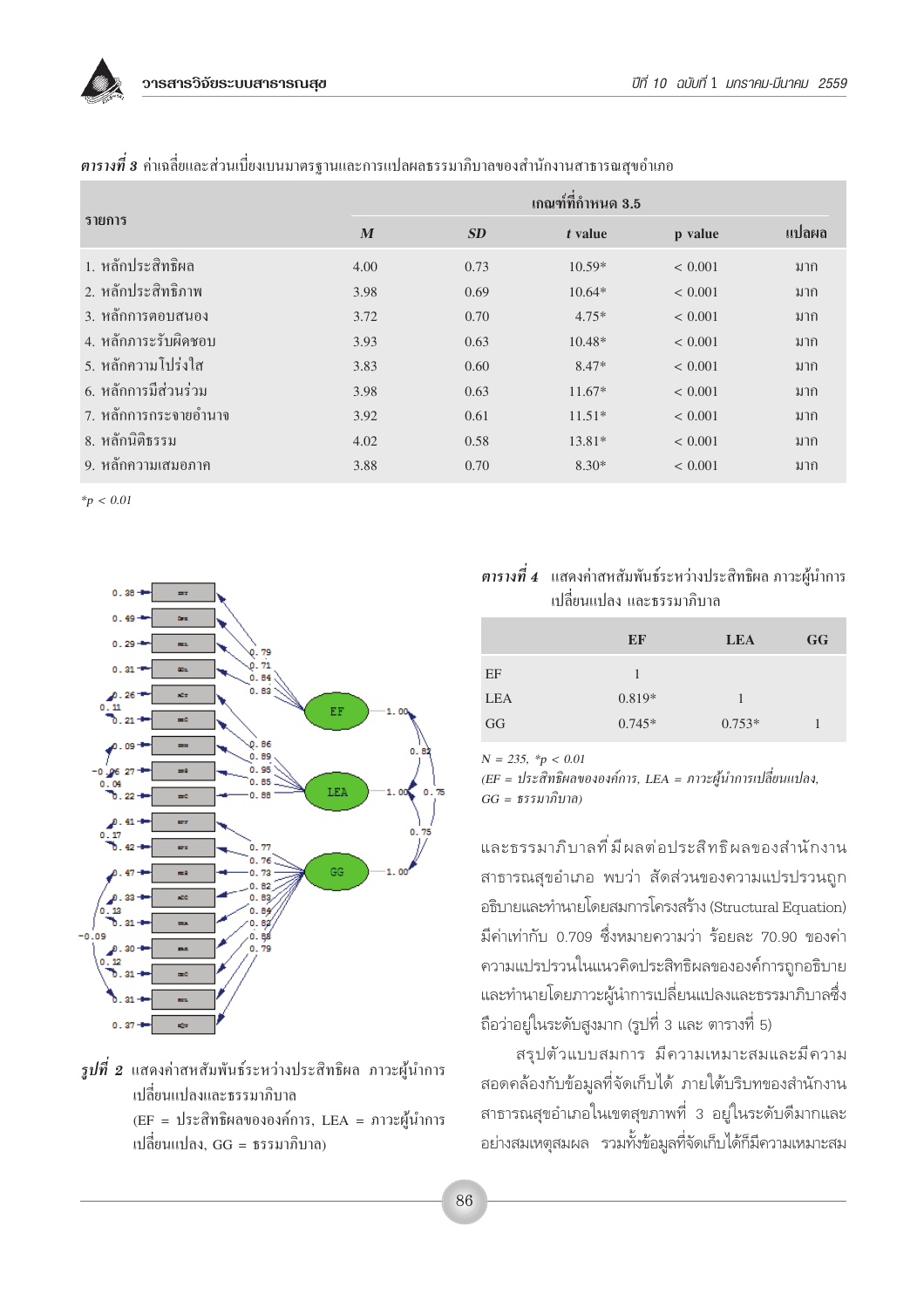

|                       | เกณฑ์ที่กำหนด 3.5 |      |          |             |       |  |  |
|-----------------------|-------------------|------|----------|-------------|-------|--|--|
| รายการ                | M                 | SD   | t value  | p value     | แปลผล |  |  |
| 1. หลักประสิทธิผล     | 4.00              | 0.73 | $10.59*$ | ${}< 0.001$ | มาก   |  |  |
| 2. หลักประสิทธิภาพ    | 3.98              | 0.69 | $10.64*$ | < 0.001     | มาก   |  |  |
| 3. หลักการตอบสนอง     | 3.72              | 0.70 | $4.75*$  | < 0.001     | มาก   |  |  |
| 4. หลักภาระรับผิดชอบ  | 3.93              | 0.63 | $10.48*$ | < 0.001     | มาก   |  |  |
| ่ 5. หลักความโปร่งใส  | 3.83              | 0.60 | $8.47*$  | ${}< 0.001$ | มาก   |  |  |
| 6. หลักการมีส่วนร่วม  | 3.98              | 0.63 | $11.67*$ | ${}< 0.001$ | มาก   |  |  |
| 7. หลักการกระจายอำนาจ | 3.92              | 0.61 | $11.51*$ | ${}< 0.001$ | มาก   |  |  |
| 8. หลักนิติธรรม       | 4.02              | 0.58 | $13.81*$ | ${}< 0.001$ | มาก   |  |  |
| 9. หลักความเสมอภาค    | 3.88              | 0.70 | $8.30*$  | ${}< 0.001$ | มาก   |  |  |

ี **ตารางที่ 3** ค่าเฉลี่ยและส่วนเบี่ยงเบนมาตรฐานและการแปลผลธรรมาภิบาลของสำนักงานสาธารณสุขอำเภอ

 $*_{p}$  < 0.01



- $\,$ รูปที่ 2 แสดงค่าสหสัมพันธ์ระหว่างประสิทธิผล ภาวะผู้นำการ เปลี่ยนแปลงและธรรมาภิบาล (EF = ประสิทธิผลขององค์การ, LEA = ภาวะผู้นำการ
	- ูเปลี่ยนแปลง. GG = ธรรมาภิบาล)

## ี **ตารางที่ 4** แสดงค่าสหสัมพันธ์ระหว่างประสิทธิผล ภาวะผู้นำการ ้เปลี่ยนแปลง และธรรมาภิบาล

|            | EF       | <b>LEA</b> | <b>GG</b> |
|------------|----------|------------|-----------|
| EF         |          |            |           |
| <b>LEA</b> | $0.819*$ |            |           |
| GG         | $0.745*$ | $0.753*$   |           |

 $N = 235$ , \*p < 0.01

(EF = ประสิทธิผลขององค์การ, LEA = ภาวะผู้นำการเปลี่ยนแปลง,  $GG = \frac{\pi}{3} \frac{3}{2} \frac{1}{2} \frac{1}{2} \frac{1}{2} \frac{1}{2} \frac{1}{2} \frac{1}{2} \frac{1}{2} \frac{1}{2} \frac{1}{2} \frac{1}{2} \frac{1}{2} \frac{1}{2} \frac{1}{2} \frac{1}{2} \frac{1}{2} \frac{1}{2} \frac{1}{2} \frac{1}{2} \frac{1}{2} \frac{1}{2} \frac{1}{2} \frac{1}{2} \frac{1}{2} \frac{1}{2} \frac{1}{2} \frac{1}{2} \frac{1}{2} \frac{1}{2} \frac{1}{2}$ 

และธรรมาภิบาลที่มีผลต่อประสิทธิผลของสำนักงาน สาธารณสุขอำเภอ พบว่า สัดส่วนของความแปรปรวนถูก อธิบายและทำนายโดยสมการโครงสร้าง (Structural Equation) มีค่าเท่ากับ 0.709 ซึ่งหมายความว่า ร้อยละ 70.90 ของค่า ความแปรปรวนในแนวคิดประสิทธิผลขององค์การถูกอธิบาย และทำนายโดยภาวะผู้นำการเปลี่ยนแปลงและธรรมาภิบาลซึ่ง ถือว่าอยู่ในระดับสูงมาก (รูปที่ 3 และ ตารางที่ 5)

้สรุปตัวแบบสมการ มีความเหมาะสมและมีความ ้สอดคล้องกับข้อมูลที่จัดเก็บได้ ภายใต้บริบทของสำนักงาน สาธารณสุขอำเภอในเขตสุขภาพที่ 3 อยู่ในระดับดีมากและ ้อย่างสมเหตุสมผล รวมทั้งข้อมูลที่จัดเก็บได้ก็มีความเหมาะสม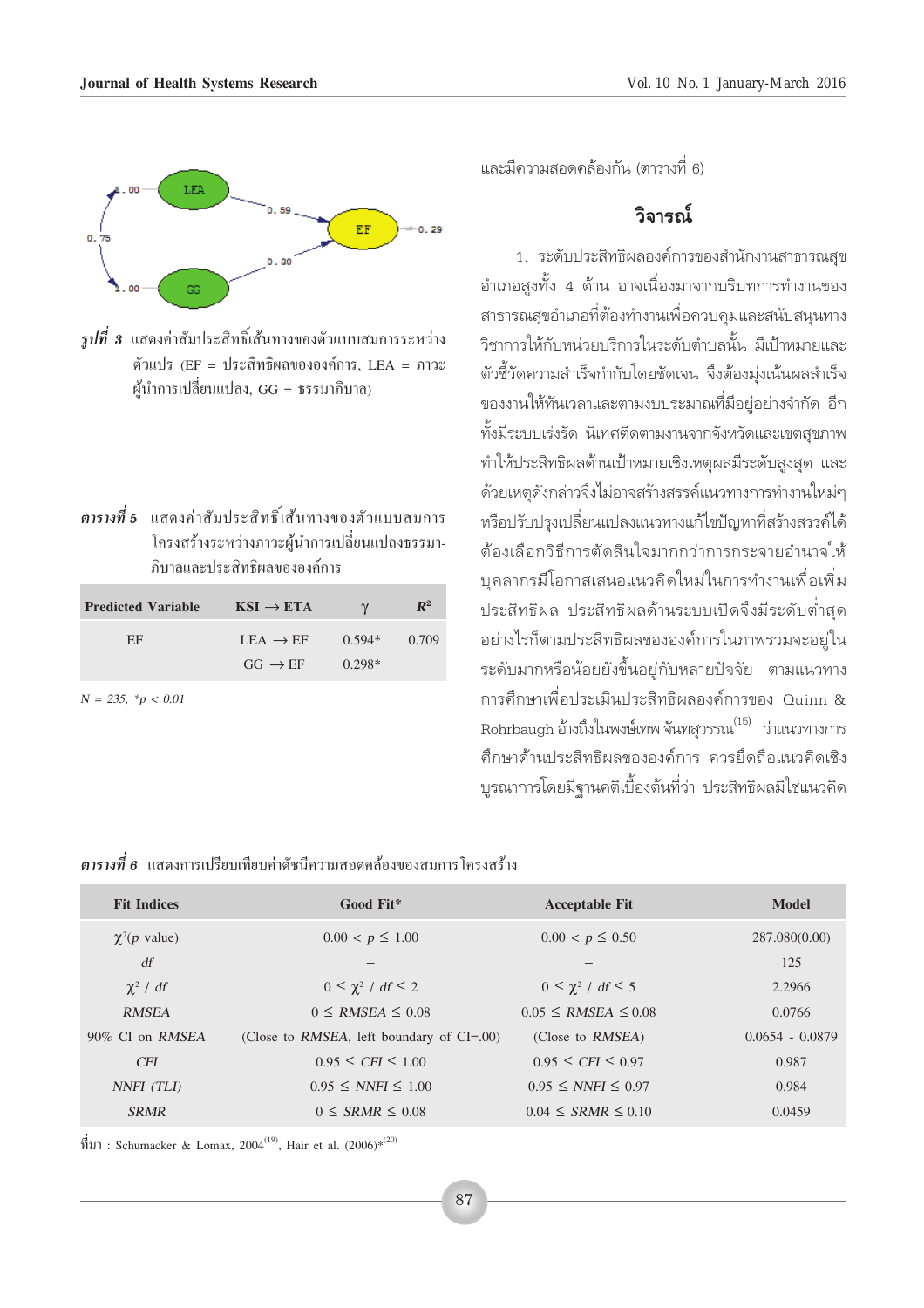

 $\,$ รปที่ 3 แสดงค่าสัมประสิทธิ์เส้นทางของตัวแบบสมการระหว่าง ตัวแปร (EF = ประสิทธิผลขององค์การ, LEA = ภาวะ ผ้นำการเปลี่ยนแปลง, GG = ธรรมาภิบาล)

| ี <mark>ตารางที่ 5</mark> แสดงค่าสัมประสิทธิ์เส้นทางของตัวแบบสมการ |
|--------------------------------------------------------------------|
| โครงสร้างระหว่างภาวะผู้นำการเปลี่ยนแปลงธรรมา-                      |
| ภิบาลและประสิทธิผลขององค์การ                                       |

| <b>Predicted Variable</b> | $KSI \rightarrow ETA$ | $\gamma$ | $\mathbb{R}^2$ |
|---------------------------|-----------------------|----------|----------------|
| FF                        | $LEA \rightarrow EF$  | $0.594*$ | 0.709          |
|                           | $GG \rightarrow EF$   | $0.298*$ |                |

 $N = 235, *p < 0.01$ 

และมีความสอดคล้องกัน (ตารางที่ 6)

## วิลารณ์

1. ระดับประสิทธิผลองค์การของสำนักงานสาธารณสุข ้อำเภอสูงทั้ง 4 ด้าน อาจเนื่องมาจากบริบทการทำงานของ ีสาธารณสขอำเภอที่ต้องทำงานเพื่อควบคมและสนับสนนทาง วิชาการให้กับหน่วยบริการในระดับตำบลนั้น มีเป้าหมายและ ้ตัวชี้วัดความสำเร็จกำกับโดยชัดเจน จึงต้องม่งเน้นผลสำเร็จ ของงานให้ทันเวลาและตามงบประมาณที่มีอยู่อย่างจำกัด อีก ้ทั้งมีระบบเร่งรัด นิเทศติดตามงานจากจังหวัดและเขตสขภาพ ทำให้ประสิทธิผลด้านเป้าหมายเชิงเหตุผลมีระดับสูงสุด และ ด้วยเหตุดังกล่าวจึงไม่อาจสร้างสรรค์แนวทางการทำงานใหม่ๆ หรือปรับปรุงเปลี่ยนแปลงแนวทางแก้ไขปัญหาที่สร้างสรรค์ได้ ต้องเลือกวิธีการตัดสินใจมากกว่าการกระจายอำนาจให้ <u>บุคลากรมีโอกาสเสนอแนวคิดใหม่ในการทำงานเพื่อเพิ่ม</u> ประสิทธิผล ประสิทธิผลด้านระบบเปิดจึงมีระดับต่ำสุด ้อย่างไรก็ตามประสิทธิผลขององค์การในภาพรวมจะอยู่ใน ระดับมากหรือน้อยยังขึ้นอยู่กับหลายปัจจัย ตามแนวทาง การศึกษาเพื่อประเมินประสิทธิผลองค์การของ Quinn & Rohrbaugh อ้างถึงในพงษ์เทพ จันทสวรรณ<sup>(15)</sup> ว่าแนวทางการ ้ศึกษาด้านประสิทธิผลขององค์การ ควรยึดถือแนวคิดเชิง ้บูรณาการโดยมีฐานคติเบื้องต้นที่ว่า ประสิทธิผลมิใช่แนวคิด

## $\,$ ตารางที่  $\,$ 6 แสดงการเปรียบเทียบค่าดัชนีความสอดคล้องของสมการโครงสร้าง

| <b>Fit Indices</b>        | Good Fit*                                      | <b>Acceptable Fit</b>         | Model             |
|---------------------------|------------------------------------------------|-------------------------------|-------------------|
| $\chi^2(p \text{ value})$ | $0.00 < p \leq 1.00$                           | $0.00 < p \leq 0.50$          | 287.080(0.00)     |
| df                        |                                                |                               | 125               |
| $\chi^2$ / df             | $0 \leq \chi^2$ / df $\leq 2$                  | $0 \leq \chi^2$ / df $\leq 5$ | 2.2966            |
| <b>RMSEA</b>              | $0 \leq RMSEA \leq 0.08$                       | $0.05 \leq RMSEA \leq 0.08$   | 0.0766            |
| 90% CI on RMSEA           | (Close to RMSEA, left boundary of $CI = .00$ ) | (Close to RMSEA)              | $0.0654 - 0.0879$ |
| <b>CFI</b>                | $0.95 \leq CFI \leq 1.00$                      | $0.95 \leq CFI \leq 0.97$     | 0.987             |
| NNFI (TLI)                | $0.95 \leq NNFI \leq 1.00$                     | $0.95 \leq NNFI \leq 0.97$    | 0.984             |
| <b>SRMR</b>               | $0 \leq$ SRMR $\leq$ 0.08                      | $0.04 \leq$ SRMR $\leq 0.10$  | 0.0459            |
|                           |                                                |                               |                   |

 $\hat{\vec{n}}$ 31) : Schumacker & Lomax, 2004<sup>(19)</sup>, Hair et al. (2006)<sup>\*</sup><sup>(20)</sup>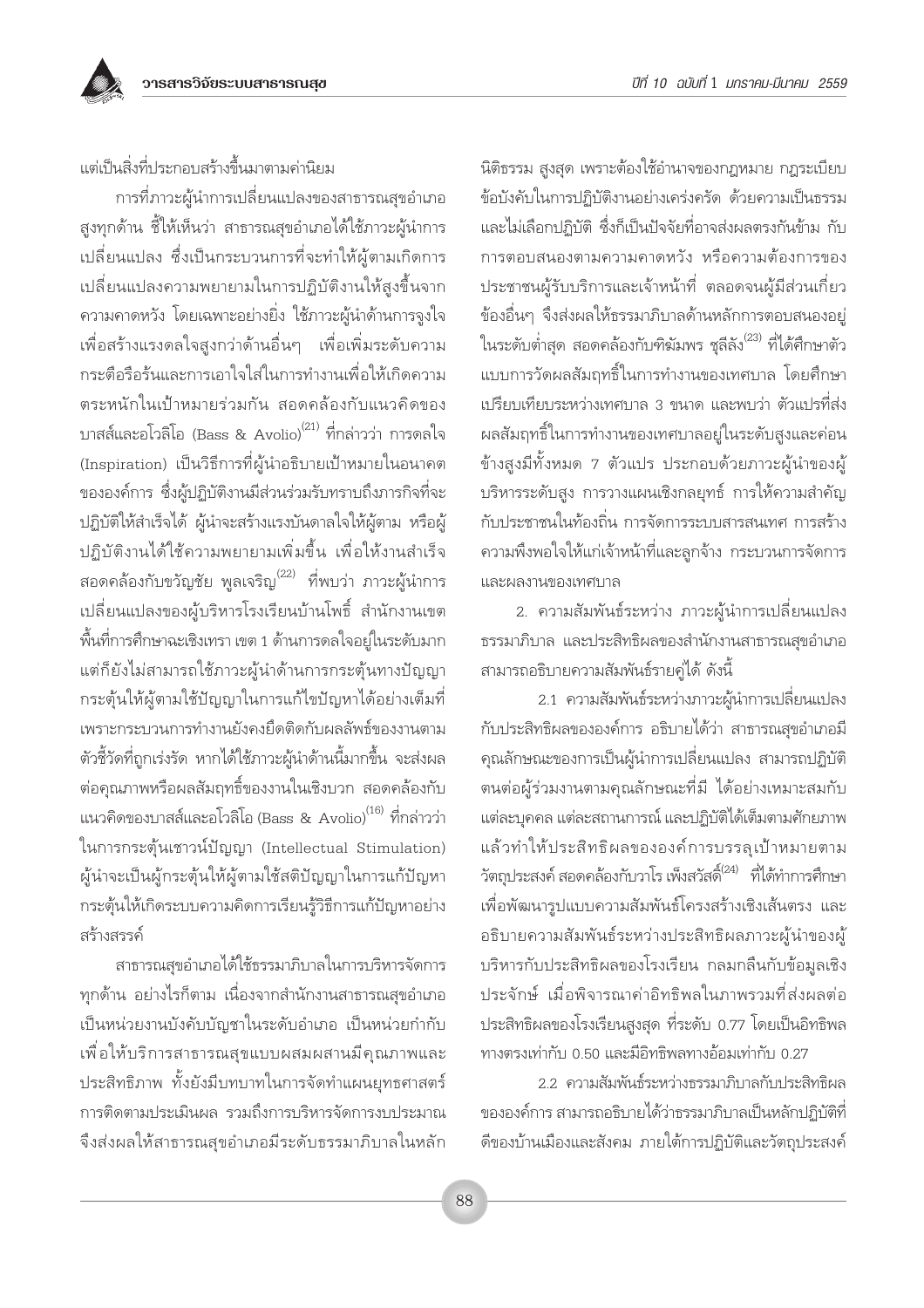แต่เป็นสิ่งที่ประกอบสร้างขึ้นมาตามค่านิยม

การที่ภาวะผู้นำการเปลี่ยนแปลงของสาธารณสุขอำเภอ สูงทุกด้าน ชี้ให้เห็นว่า สาธารณสุขอำเภอได้ใช้ภาวะผู้นำการ เปลี่ยนแปลง ซึ่งเป็นกระบวนการที่จะทำให้ผู้ตามเกิดการ ้<br>เปลี่ยนแปลงความพยายามในการปฏิบัติงานให้สูงขึ้นจาก ้ความคาดหวัง โดยเฉพาะอย่างยิ่ง ใช้ภาวะผู้นำด้านการจูงใจ เพื่อสร้างแรงดลใจสูงกว่าด้านอื่นๆ เพื่อเพิ่มระดับความ กระตือรือร้นและการเอาใจใส่ในการทำงานเพื่อให้เกิดความ ตระหนักในเป้าหมายร่วมกัน สอดคล้องกับแนวคิดของ ิบาสส์และอโวลิโอ (Bass & Avolio)<sup>(21)</sup> ที่กล่าวว่า การดลใจ (Inspiration) เป็นวิธีการที่ผู้นำอธิบายเป้าหมายในอนาคต ขององค์การ ซึ่งผู้ปฏิบัติงานมีส่วนร่วมรับทราบถึงภารกิจที่จะ ปฏิบัติให้สำเร็จได้ ผู้นำจะสร้างแรงบันดาลใจให้ผู้ตาม หรือผู้ ปฏิบัติงานได้ใช้ความพยายามเพิ่มขึ้น เพื่อให้งานสำเร็จ ีสอดคล้องกับขวัญชัย พูลเจริญ<sup>(22)</sup> ที่พบว่า ภาวะผู้นำการ เปลี่ยนแปลงของผู้บริหารโรงเรียนบ้านโพธิ์ สำนักงานเขต ์พื้นที่การศึกษาฉะเชิงเทรา เขต 1 ด้านการดลใจอยู่ในระดับมาก แต่ก็ยังไม่สามารถใช้ภาวะผู้นำด้านการกระตุ้นทางปัญญา กระตุ้นให้ผู้ตามใช้ปัญญาในการแก้ไขปัญหาได้อย่างเต็มที่ เพราะกระบวนการทำงานยังคงยึดติดกับผลลัพธ์ของงานตาม ตัวชี้วัดที่ถกเร่งรัด หากได้ใช้ภาวะผ้นำด้านนี้มากขึ้น จะส่งผล ้ต่อคุณภาพหรือผลสัมฤทธิ์ของงานในเชิงบวก สอดคล้องกับ แนวคิดของบาสส์และอโวลิโอ (Bass & Avolio)<sup>(16)</sup> ที่กล่าวว่า ในการกระตุ้นเชาวน์ปัญญา (Intellectual Stimulation) ผู้นำจะเป็นผู้กระตุ้นให้ผู้ตามใช้สติปัญญาในการแก้ปัญหา กระตุ้นให้เกิดระบบความคิดการเรียนรู้วิธีการแก้ปัญหาอย่าง สร้างสรรค์

สาธารณสุขอำเภอได้ใช้ธรรมาภิบาลในการบริหารจัดการ ทกด้าน อย่างไรก็ตาม เนื่องจากสำนักงานสาธารณสขอำเภอ เป็นหน่วยงานบังคับบัญชาในระดับอำเภอ เป็นหน่วยกำกับ เพื่อให้บริการสาธารณสุขแบบผสมผสานมีคุณภาพและ ประสิทธิภาพ ทั้งยังมีบทบาทในการจัดทำแผนยทธศาสตร์ การติดตามประเมินผล รวมถึงการบริหารจัดการงบประมาณ จึงส่งผลให้สาธารณสุขอำเภอมีระดับธรรมาภิบาลในหลัก

นิติธรรม สูงสุด เพราะต้องใช้อำนาจของกฎหมาย กฎระเบียบ ข้อบังคับในการปฏิบัติงานอย่างเคร่งครัด ด้วยความเป็นธรรม และไม่เลือกปภิบัติ ซึ่งก็เป็นปัจจัยที่อาจส่งผลตรงกันข้าม กับ การตอบสนองตามความคาดหวัง หรือความต้องการของ ประชาชนผู้รับบริการและเจ้าหน้าที่ ตลอดจนผู้มีส่วนเกี่ยว ข้องอื่นๆ จึงส่งผลให้ธรรมาภิบาลด้านหลักการตอบสนองอยู่ ในระดับต่ำสุด สอดคล้องกับฑิฆัมพร ชลีลัง<sup>(23)</sup> ที่ได้ศึกษาตัว แบบการวัดผลสัมฤทธิ์ในการทำงานของเทศบาล โดยศึกษา เปรียบเทียบระหว่างเทศบาล 3 ขนาด และพบว่า ตัวแปรที่ส่ง ผลสัมฤทธิ์ในการทำงานของเทศบาลอยู่ในระดับสูงและค่อน ข้างสูงมีทั้งหมด 7 ตัวแปร ประกอบด้วยภาวะผู้นำของผู้ บริหารระดับสูง การวางแผนเชิงกลยุทธ์ การให้ความสำคัญ กับประชาชนในท้องถิ่น การจัดการระบบสารสนเทศ การสร้าง ้ความพึงพอใจให้แก่เจ้าหน้าที่และลูกจ้าง กระบวนการจัดการ และผลงานของเทศบาล

2. ความสัมพันธ์ระหว่าง ภาวะผู้นำการเปลี่ยนแปลง ธรรมาภิบาล และประสิทธิผลของสำนักงานสาธารณสขอำเภอ สามารถอธิบายความสัมพันธ์รายคู่ได้ ดังนี้

2.1 ความสัมพันธ์ระหว่างภาวะผู้นำการเปลี่ยนแปลง กับประสิทธิผลขององค์การ อธิบายได้ว่า สาธารณสุขอำเภอมี ้คุณลักษณะของการเป็นผู้นำการเปลี่ยนแปลง สามารถปฏิบัติ ิตนต่อผู้ร่วมงานตามคุณลักษณะที่มี ได้อย่างเหมาะสมกับ แต่ละบุคคล แต่ละสถานการณ์ และปฏิบัติได้เต็มตามศักยภาพ แล้วทำให้ประสิทธิผลขององค์การบรรลุเป้าหมายตาม วัตถุประสงค์ สอดคล้องกับวาโร เพ็งสวัสดิ์ $^{2(24)}$  ที่ได้ทำการศึกษา เพื่อพัฒนารูปแบบความสัมพันธ์โครงสร้างเชิงเส้นตรง และ อธิบายความสัมพันธ์ระหว่างประสิทธิผลภาวะผู้นำของผู้ บริหารกับประสิทธิผลของโรงเรียน กลมกลืนกับข้อมูลเชิง ประจักษ์ เมื่อพิจารณาค่าอิทธิพลในภาพรวมที่ส่งผลต่อ ประสิทธิผลของโรงเรียนสูงสุด ที่ระดับ 0.77 โดยเป็นอิทธิพล ทางตรงเท่ากับ 0.50 และมีอิทธิพลทางอ้อมเท่ากับ 0.27

2.2. ความสัมพันธ์ระหว่างธรรมาภิบาลกับประสิทธิผล ขององค์การ สามารถอธิบายได้ว่าธรรมาภิบาลเป็นหลักปฏิบัติที่ ดีของบ้านเมืองและสังคม ภายใต้การปฏิบัติและวัตถประสงค์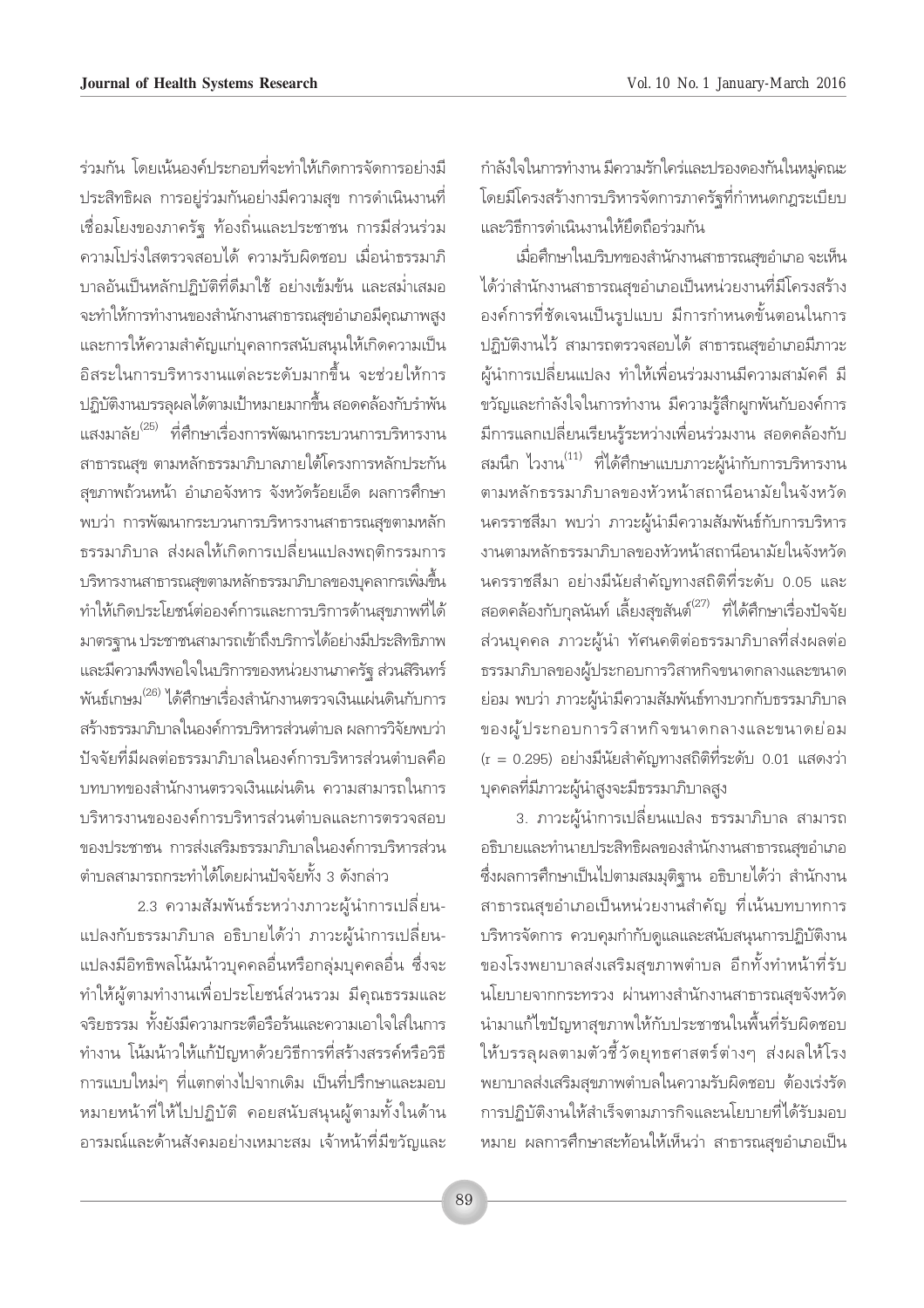กำลังใจในการทำงาน มีความรักใคร่และปรองดองกันในหมู่คณะ โดยมีโครงสร้างการบริหารจัดการภาครัฐที่กำหนดกฎระเบียบ และวิธีการดำเนินงานให้ยึดถือร่วมกัน

เมื่อศึกษาในบริบทของสำนักงานสาธารณสุขอำเภอ จะเห็น ได้ว่าสำนักงานสาธารณสุขอำเภอเป็นหน่วยงานที่มีโครงสร้าง ้องค์การที่ชัดเจนเป็นรูปแบบ มีการกำหนดขั้นตอนในการ ปฏิบัติงานไว้ สามารถตรวจสอบได้ สาธารณสุขอำเภอมีภาวะ ้ผู้นำการเปลี่ยนแปลง ทำให้เพื่อนร่วมงานมีความสามัคคี มี ขวัญและกำลังใจในการทำงาน มีความรัสึกผกพันกับองค์การ ้มีการแลกเปลี่ยนเรียนรู้ระหว่างเพื่อนร่วมงาน สอดคล้องกับ สมนึก ไวงาน<sup>(11)</sup> ที่ได้ศึกษาแบบภาวะผู้นำกับการบริหารงาน ตามหลักธรรมาภิบาลของหัวหน้าสถานีอนามัยในจังหวัด ้นครราชสีมา พบว่า ภาวะผู้นำมีความสัมพันธ์กับการบริหาร งานตามหลักธรรมาภิบาลของหัวหน้าสถานีอนามัยในจังหวัด นครราชสีมา อย่างมีนัยสำคัญทางสถิติที่ระดับ 0.05 และ สอดคล้องกับกุลนันท์ เลี้ยงสุขสันต์<sup>(27)</sup> ที่ได้ศึกษาเรื่องปัจจัย ้ส่วนบุคคล ภาวะผู้นำ ทัศนคติต่อธรรมาภิบาลที่ส่งผลต่อ ธรรมาภิบาลของผู้ประกอบการวิสาหกิจขนาดกลางและขนาด ย่อม พบว่า ภาวะผู้นำมีความสัมพันธ์ทางบวกกับธรรมาภิบาล ของผู้ประกอบการวิสาหกิจขนาดกลางและขนาดย่อม (r = 0.295) อย่างมีนัยสำคัญทางสถิติที่ระดับ 0.01 แสดงว่า บุคคลที่มีภาวะผู้นำสูงจะมีธรรมาภิบาลสูง

3. ภาวะผู้นำการเปลี่ยนแปลง ธรรมาภิบาล สามารถ อธิบายและทำนายประสิทธิผลของสำนักงานสาธารณสุขอำเภอ ซึ่งผลการศึกษาเป็นไปตามสมมุติฐาน อธิบายได้ว่า สำนักงาน สาธารณสุขอำเภอเป็นหน่วยงานสำคัญ ที่เน้นบทบาทการ บริหารจัดการ ควบคุมกำกับดูแลและสนับสนุนการปฏิบัติงาน ของโรงพยาบาลส่งเสริมสุขภาพตำบล อีกทั้งทำหน้าที่รับ นโยบายจากกระทรวง ผ่านทางสำนักงานสาธารณสขจังหวัด นำมาแก้ไขปัญหาสุขภาพให้กับประชาชนในพื้นที่รับผิดชอบ ให้บรรลุผลตามตัวชี้วัดยุทธศาสตร์ต่างๆ ส่งผลให้โรง ้พยาบาลส่งเสริมสุขภาพตำบลในความรับผิดชอบ ต้องเร่งรัด การปฏิบัติงานให้สำเร็จตามภารกิจและนโยบายที่ได้รับมอบ หมาย ผลการศึกษาสะท้อนให้เห็นว่า สาธารณสุขอำเภอเป็น

ร่วมกัน โดยเน้นองค์ประกอบที่จะทำให้เกิดการจัดการอย่างมี ประสิทธิผล การอยู่ร่วมกันอย่างมีความสุข การดำเนินงานที่ เชื่อมโยงของภาครัฐ ท้องถิ่นและประชาชน การมีส่วนร่วม ้ความโปร่งใสตรวจสอบได้ ความรับผิดชอบ เมื่อนำธรรมาภิ บาลอันเป็นหลักปฏิบัติที่ดีมาใช้ อย่างเข้มข้น และสม่ำเสมอ จะทำให้การทำงานของสำนักงานสาธารณสุขอำเภอมีคุณภาพสูง และการให้ความสำคัญแก่บุคลากรสนับสนุนให้เกิดความเป็น อิสระในการบริหารงานแต่ละระดับมากขึ้น จะช่วยให้การ ู ปฏิบัติงานบรรลผลได้ตามเป้าหมายมากขึ้น สอดคล้องกับรำพัน แสงมาลัย<sup>(25)</sup> ที่ศึกษาเรื่องการพัฒนากระบวนการบริหารงาน สาธารณสข ตามหลักธรรมาภิบาลภายใต้โครงการหลักประกัน สุขภาพถ้วนหน้า อำเภอจังหาร จังหวัดร้อยเอ็ด ผลการศึกษา พบว่า การพัฒนากระบวนการบริหารงานสาธารณสุขตามหลัก ิธรรมาภิบาล ส่งผลให้เกิดการเปลี่ยนแปลงพฤติกรรมการ ้ บริหารงานสาธารณสุขตามหลักธรรมาภิบาลของบุคลากรเพิ่มขึ้น ทำให้เกิดประโยชน์ต่อองค์การและการบริการด้านสุขภาพที่ได้ มาตรฐาน ประชาชนสามารถเข้าถึงบริการได้อย่างมีประสิทธิภาพ และมีความพึงพอใจในบริการของหน่วยงานภาครัฐ ส่วนสิรินทร์ พันธ์เกษม<sup>(26) </sup>ได้ศึกษาเรื่องสำนักงานตรวจเงินแผ่นดินกับการ สร้างธรรมาภิบาลในองค์การบริหารส่วนตำบล ผลการวิจัยพบว่า ปัจจัยที่มีผลต่อธรรมาภิบาลในองค์การบริหารส่วนตำบลคือ ้บทบาทของสำนักงานตรวจเงินแผ่นดิน ความสามารถในการ บริหารงานขององค์การบริหารส่วนตำบลและการตรวจสอบ ของประชาชน การส่งเสริมธรรมาภิบาลในองค์การบริหารส่วน ตำบลสามารถกระทำได้โดยผ่านปัจจัยทั้ง 3 ดังกล่าว

2.3 ความสัมพันธ์ระหว่างภาวะผู้นำการเปลี่ยน-แปลงกับธรรมาภิบาล อธิบายได้ว่า ภาวะผู้นำการเปลี่ยน-แปลงมีอิทธิพลโน้มน้าวบุคคลอื่นหรือกลุ่มบุคคลอื่น ซึ่งจะ ทำให้ผู้ตามทำงานเพื่อประโยชน์ส่วนรวม มีคุณธรรมและ จริยธรรม ทั้งยังมีความกระตือรือร้นและความเอาใจใส่ในการ ทำงาน โน้มน้าวให้แก้ปัญหาด้วยวิธีการที่สร้างสรรค์หรือวิธี การแบบใหม่ๆ ที่แตกต่างไปจากเดิม เป็นที่ปรึกษาและมอบ หมายหน้าที่ให้ไปปฏิบัติ คอยสนับสนุนผู้ตามทั้งในด้าน อารมณ์และด้านสังคมอย่างเหมาะสม เจ้าหน้าที่มีขวัณและ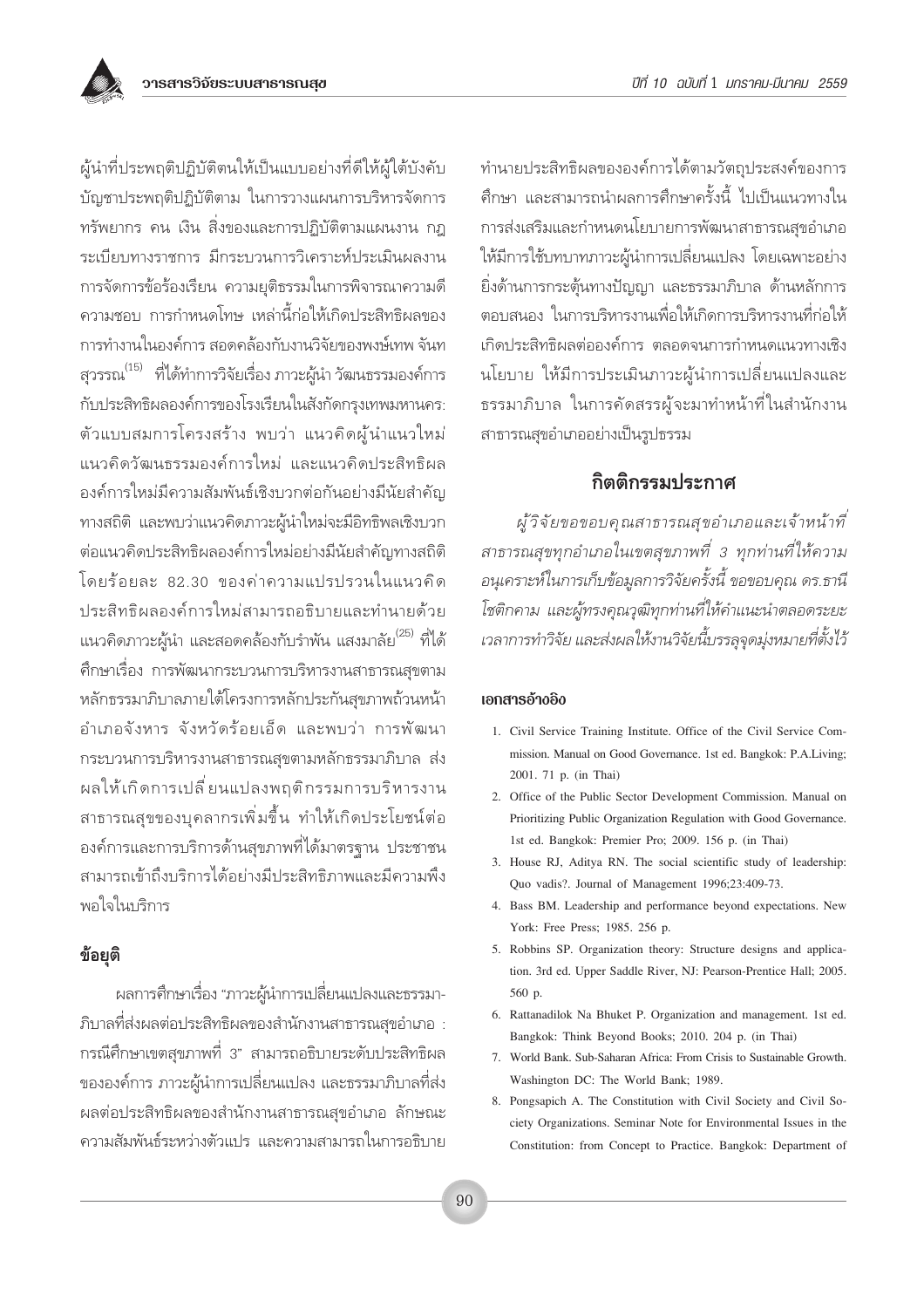

ผู้นำที่ประพฤติปฏิบัติตนให้เป็นแบบอย่างที่ดีให้ผู้ใต้บังคับ บัญชาประพฤติปฏิบัติตาม ในการวางแผนการบริหารจัดการ ทรัพยากร คน เงิน สิ่งของและการปฏิบัติตามแผนงาน กฎ ระเบียบทางราชการ มีกระบวนการวิเคราะห์ประเมินผลงาน การจัดการข้อร้องเรียน ความยุติธรรมในการพิจารณาความดี ้ความชอบ การกำหนดโทษ เหล่านี้ก่อให้เกิดประสิทธิผลของ การทำงานในองค์การ สอดคล้องกับงานวิจัยของพงษ์เทพ จันท สุวรรณ<sup>(15)</sup> ที่ได้ทำการวิจัยเรื่อง ภาวะผู้นำ วัฒนธรรมองค์การ กับประสิทธิผลองค์การของโรงเรียนในสังกัดกรุงเทพมหานคร: ตัวแบบสมการโครงสร้าง พบว่า แนวคิดผู้นำแนวใหม่ แนวคิดวัฒนธรรมองค์การใหม่ และแนวคิดประสิทธิผล องค์การใหม่มีความสัมพันธ์เชิงบวกต่อกันอย่างมีนัยสำคัญ ทางสถิติ และพบว่าแนวคิดภาวะผู้นำใหม่จะมีอิทธิพลเชิงบวก ต่อแนวคิดประสิทธิผลองค์การใหม่อย่างมีนัยสำคัญทางสถิติ โดยร้อยละ 82.30 ของค่าความแปรปรวนในแนวคิด ประสิทธิผลองค์การใหม่สามารถอธิบายและทำนายด้วย แนวคิดภาวะผ้นำ และสอดคล้องกับรำพัน แสงมาลัย $^{(25)}$  ที่ได้ ์ศึกษาเรื่อง การพัฒนากระบวนการบริหารงานสาธารณสุขตาม หลักธรรมาภิบาลภายใต้โครงการหลักประกันสุขภาพถ้วนหน้า อำเภอจังหาร จังหวัดร้อยเอ็ด และพบว่า การพัฒนา กระบวนการบริหารงานสาธารณสขตามหลักธรรมาภิบาล ส่ง ผลให้เกิดการเปลี่ยนแปลงพฤติกรรมการบริหารงาน สาธารณสุขของบุคลากรเพิ่มขึ้น ทำให้เกิดประโยชน์ต่อ ้องค์การและการบริการด้านสุขภาพที่ได้มาตรจาน ประชาชน สามารถเข้าถึงบริการได้อย่างมีประสิทธิภาพและมีความพึง พอใจในบริการ

## ข้อยุติ

้ผลการศึกษาเรื่อง "ภาวะผู้นำการเปลี่ยนแปลงและธรรมา-้ภิบาลที่ส่งผลต่อประสิทธิผลของสำนักงานสาธารณสุขอำเภอ : กรณีศึกษาเขตสุขภาพที่ 3" สามารถอธิบายระดับประสิทธิผล ขององค์การ ภาวะผู้นำการเปลี่ยนแปลง และธรรมาภิบาลที่ส่ง ผลต่อประสิทธิผลของสำนักงานสาธารณสุขอำเภอ ลักษณะ ้ความสัมพันธ์ระหว่างตัวแปร และความสามารถในการอธิบาย ทำนายประสิทธิผลขององค์การได้ตามวัตถุประสงค์ของการ ์ศึกษา และสามารถนำผลการศึกษาครั้งนี้ ไปเป็นแนวทางใน การส่งเสริมและกำหนดนโยบายการพัฒนาสาธารณสขอำเภอ ให้มีการใช้บทบาทภาวะผู้นำการเปลี่ยนแปลง โดยเฉพาะอย่าง ยิ่งด้านการกระต้นทางปัญญา และธรรมาภิบาล ด้านหลักการ ตอบสนอง ในการบริหารงานเพื่อให้เกิดการบริหารงานที่ก่อให้ เกิดประสิทธิผลต่อองค์การ ตลอดจนการกำหนดแนวทางเชิง นโยบาย ให้มีการประเมินภาวะผู้นำการเปลี่ยนแปลงและ ธรรมาภิบาล ในการคัดสรรผู้จะมาทำหน้าที่ในสำนักงาน สาธารณสุขอำเภออย่างเป็นรูปธรรม

## กิตติกรรมประกาศ

ผู้วิจัยขอขอบคุณสาธารณสุขอำเภอและเจ้าหน้าที่ สาธารณสุขทุกอำเภอในเขตสุขภาพที่ 3 ทุกท่านที่ให้ความ ้อนุเคราะห์ในการเก็บข้อมูลการวิจัยครั้งนี้ ขอขอบคุณ ดร.ธานี โชติกคาม และผู้ทรงคุณวุฒิทุกท่านที่ให้คำแนะนำตลอดระยะ เวลาการทำวิจัย และส่งผลให้งานวิจัยนี้บรรลจดม่งหมายที่ตั้งไว้

#### เอกสารอ้างอิง

- 1. Civil Service Training Institute. Office of the Civil Service Commission. Manual on Good Governance. 1st ed. Bangkok: P.A.Living; 2001. 71 p. (in Thai)
- 2. Office of the Public Sector Development Commission. Manual on Prioritizing Public Organization Regulation with Good Governance. 1st ed. Bangkok: Premier Pro; 2009. 156 p. (in Thai)
- 3. House RJ, Aditya RN. The social scientific study of leadership: Quo vadis?. Journal of Management 1996;23:409-73.
- 4. Bass BM. Leadership and performance beyond expectations. New York: Free Press; 1985. 256 p.
- 5. Robbins SP. Organization theory: Structure designs and application. 3rd ed. Upper Saddle River, NJ: Pearson-Prentice Hall; 2005. 560 p.
- 6. Rattanadilok Na Bhuket P. Organization and management. 1st ed. Bangkok: Think Beyond Books; 2010. 204 p. (in Thai)
- 7. World Bank. Sub-Saharan Africa: From Crisis to Sustainable Growth. Washington DC: The World Bank; 1989.
- 8. Pongsapich A. The Constitution with Civil Society and Civil Society Organizations. Seminar Note for Environmental Issues in the Constitution: from Concept to Practice. Bangkok: Department of